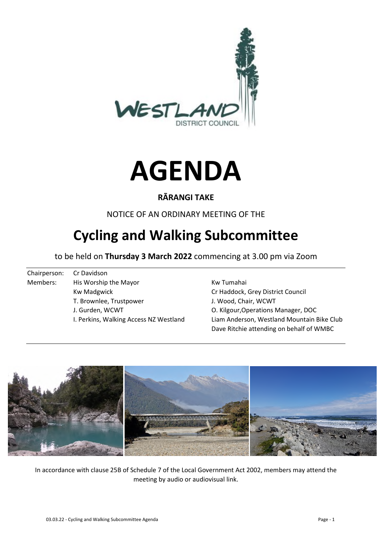



## **RĀRANGI TAKE**

NOTICE OF AN ORDINARY MEETING OF THE

# **Cycling and Walking Subcommittee**

to be held on **Thursday 3 March 2022** commencing at 3.00 pm via Zoom

Chairperson: Cr Davidson Members: His Worship the Mayor New York Way Kw Tumahai Kw Madgwick **Cr Haddock**, Grey District Council T. Brownlee, Trustpower J. Wood, Chair, WCWT J. Gurden, WCWT O. Kilgour,Operations Manager, DOC

I. Perkins, Walking Access NZ Westland Liam Anderson, Westland Mountain Bike Club Dave Ritchie attending on behalf of WMBC



In accordance with clause 25B of Schedule 7 of the Local Government Act 2002, members may attend the meeting by audio or audiovisual link.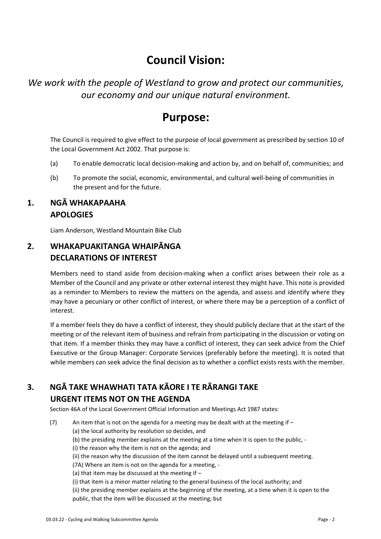# **Council Vision:**

## *We work with the people of Westland to grow and protect our communities, our economy and our unique natural environment.*

## **Purpose:**

The Council is required to give effect to the purpose of local government as prescribed by section 10 of the Local Government Act 2002. That purpose is:

- (a) To enable democratic local decision-making and action by, and on behalf of, communities; and
- (b) To promote the social, economic, environmental, and cultural well-being of communities in the present and for the future.

### **1. NGĀ WHAKAPAAHA APOLOGIES**

Liam Anderson, Westland Mountain Bike Club

## **2. WHAKAPUAKITANGA WHAIPĀNGA DECLARATIONS OF INTEREST**

Members need to stand aside from decision-making when a conflict arises between their role as a Member of the Council and any private or other external interest they might have. This note is provided as a reminder to Members to review the matters on the agenda, and assess and identify where they may have a pecuniary or other conflict of interest, or where there may be a perception of a conflict of interest.

If a member feels they do have a conflict of interest, they should publicly declare that at the start of the meeting or of the relevant item of business and refrain from participating in the discussion or voting on that item. If a member thinks they may have a conflict of interest, they can seek advice from the Chief Executive or the Group Manager: Corporate Services (preferably before the meeting). It is noted that while members can seek advice the final decision as to whether a conflict exists rests with the member.

## **3. NGĀ TAKE WHAWHATI TATA KĀORE I TE RĀRANGI TAKE URGENT ITEMS NOT ON THE AGENDA**

Section 46A of the Local Government Official Information and Meetings Act 1987 states:

- (7) An item that is not on the agenda for a meeting may be dealt with at the meeting if
	- (a) the local authority by resolution so decides, and
	- (b) the presiding member explains at the meeting at a time when it is open to the public, -
	- (i) the reason why the item is not on the agenda; and
	- (ii) the reason why the discussion of the item cannot be delayed until a subsequent meeting.
	- (7A) Where an item is not on the agenda for a meeting, -
	- (a) that item may be discussed at the meeting if  $-$
	- (i) that item is a minor matter relating to the general business of the local authority; and

(ii) the presiding member explains at the beginning of the meeting, at a time when it is open to the public, that the item will be discussed at the meeting; but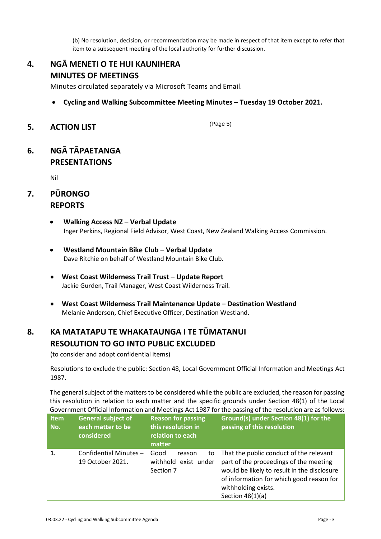(b) No resolution, decision, or recommendation may be made in respect of that item except to refer that item to a subsequent meeting of the local authority for further discussion.

### **4. NGĀ MENETI O TE HUI KAUNIHERA MINUTES OF MEETINGS**

Minutes circulated separately via Microsoft Teams and Email.

- **Cycling and Walking Subcommittee Meeting Minutes Tuesday 19 October 2021.**
- **5. ACTION LIST**

(Page 5)

#### **6. NGĀ TĀPAETANGA PRESENTATIONS**

Nil

## **7. PŪRONGO REPORTS**

- **Walking Access NZ Verbal Update**  Inger Perkins, Regional Field Advisor, West Coast, New Zealand Walking Access Commission.
- **Westland Mountain Bike Club Verbal Update**  Dave Ritchie on behalf of Westland Mountain Bike Club.
- **West Coast Wilderness Trail Trust Update Report**  Jackie Gurden, Trail Manager, West Coast Wilderness Trail.
- **West Coast Wilderness Trail Maintenance Update Destination Westland**  Melanie Anderson, Chief Executive Officer, Destination Westland.

## **8. KA MATATAPU TE WHAKATAUNGA I TE TŪMATANUI RESOLUTION TO GO INTO PUBLIC EXCLUDED**

(to consider and adopt confidential items)

Resolutions to exclude the public: Section 48, Local Government Official Information and Meetings Act 1987.

The general subject of the matters to be considered while the public are excluded, the reason for passing this resolution in relation to each matter and the specific grounds under Section 48(1) of the Local Government Official Information and Meetings Act 1987 for the passing of the resolution are as follows:

| <b>Item</b><br>No. | <b>General subject of</b><br>each matter to be<br>considered | <b>Reason for passing</b><br>this resolution in<br>relation to each<br>matter | Ground(s) under Section 48(1) for the<br>passing of this resolution                                                                                                                                                       |
|--------------------|--------------------------------------------------------------|-------------------------------------------------------------------------------|---------------------------------------------------------------------------------------------------------------------------------------------------------------------------------------------------------------------------|
| $\mathbf{1}$       | Confidential Minutes-<br>19 October 2021.                    | Good<br>reason<br>to<br>withhold exist under<br>Section 7                     | That the public conduct of the relevant<br>part of the proceedings of the meeting<br>would be likely to result in the disclosure<br>of information for which good reason for<br>withholding exists.<br>Section $48(1)(a)$ |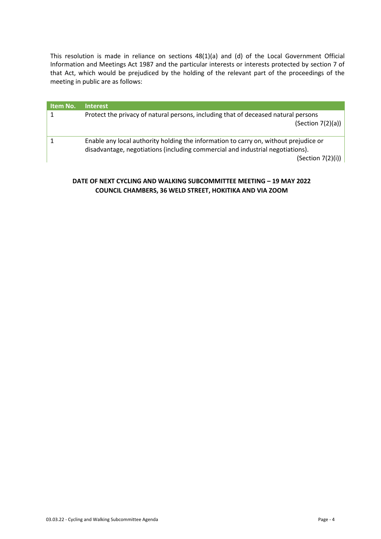This resolution is made in reliance on sections 48(1)(a) and (d) of the Local Government Official Information and Meetings Act 1987 and the particular interests or interests protected by section 7 of that Act, which would be prejudiced by the holding of the relevant part of the proceedings of the meeting in public are as follows:

| Item No. | <b>Interest</b>                                                                                                                                                                                |
|----------|------------------------------------------------------------------------------------------------------------------------------------------------------------------------------------------------|
|          | Protect the privacy of natural persons, including that of deceased natural persons<br>(Section $7(2)(a)$ )                                                                                     |
|          | Enable any local authority holding the information to carry on, without prejudice or<br>disadvantage, negotiations (including commercial and industrial negotiations).<br>(Section $7(2)(i)$ ) |

#### **DATE OF NEXT CYCLING AND WALKING SUBCOMMITTEE MEETING – 19 MAY 2022 COUNCIL CHAMBERS, 36 WELD STREET, HOKITIKA AND VIA ZOOM**